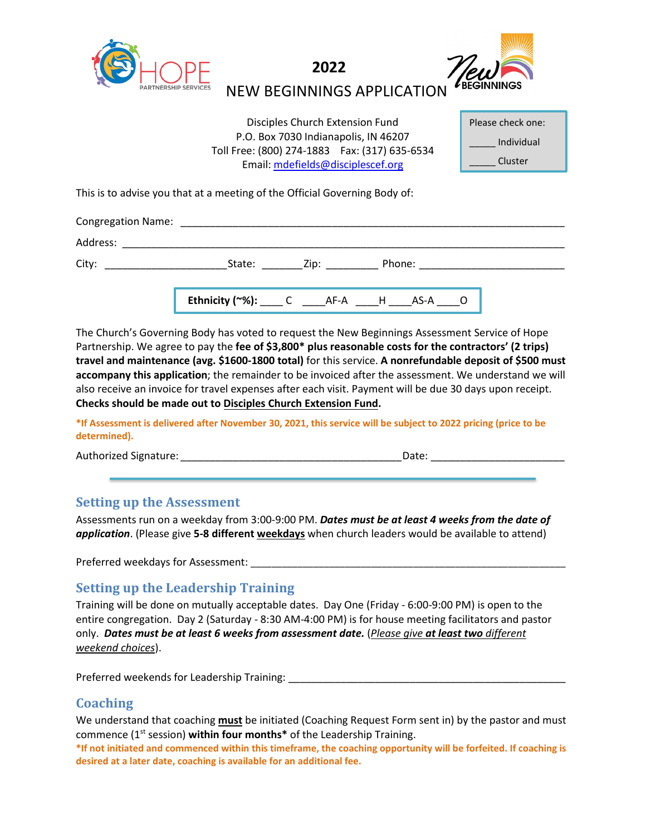

**2022**



NEW BEGINNINGS APPLICATION

| Disciples Church Extension Fund                 |
|-------------------------------------------------|
| P.O. Box 7030 Indianapolis, IN 46207            |
| Toll Free: (800) 274-1883   Fax: (317) 635-6534 |
| Email: mdefields@disciplescef.org               |

| Please check one: |  |  |
|-------------------|--|--|
| Individual        |  |  |
| Cluster           |  |  |

This is to advise you that at a meeting of the Official Governing Body of:

| <b>Congregation Name:</b> | <u> 1980 - Jan Samuel Barbara, martin a</u>                  |              |                         |
|---------------------------|--------------------------------------------------------------|--------------|-------------------------|
| Address:                  |                                                              |              |                         |
| City:                     | State:                                                       | Zip: _______ | Phone: ________________ |
|                           | <b>Ethnicity (~%):</b> _____ C ______AF-A _____H _____AS-A _ |              |                         |

The Church's Governing Body has voted to request the New Beginnings Assessment Service of Hope Partnership. We agree to pay the **fee of \$3,800\* plus reasonable costs for the contractors' (2 trips) travel and maintenance (avg. \$1600-1800 total)** for this service. **A nonrefundable deposit of \$500 must accompany this application**; the remainder to be invoiced after the assessment. We understand we will also receive an invoice for travel expenses after each visit. Payment will be due 30 days upon receipt. **Checks should be made out to Disciples Church Extension Fund.**

**\*If Assessment is delivered after November 30, 2021, this service will be subject to 2022 pricing (price to be determined).**

Authorized Signature: <br>
and the contract of the contract of the contract of the contract of the contract of the contract of the contract of the contract of the contract of the contract of the contract of the contract of th

## **Setting up the Assessment**

Assessments run on a weekday from 3:00-9:00 PM. *Dates must be at least 4 weeks from the date of application*. (Please give **5-8 different weekdays** when church leaders would be available to attend)

Preferred weekdays for Assessment:

## **Setting up the Leadership Training**

Training will be done on mutually acceptable dates. Day One (Friday - 6:00-9:00 PM) is open to the entire congregation. Day 2 (Saturday - 8:30 AM-4:00 PM) is for house meeting facilitators and pastor only. *Dates must be at least 6 weeks from assessment date.* (*Please give at least two different weekend choices*).

Preferred weekends for Leadership Training: \_\_\_\_\_\_\_\_\_\_\_\_\_\_\_\_\_\_\_\_\_\_\_\_\_\_\_\_\_\_\_\_\_\_\_\_\_\_\_\_\_\_\_\_\_\_\_\_

## **Coaching**

We understand that coaching **must** be initiated (Coaching Request Form sent in) by the pastor and must commence (1st session) **within four months\*** of the Leadership Training.

**\*If not initiated and commenced within this timeframe, the coaching opportunity will be forfeited. If coaching is desired at a later date, coaching is available for an additional fee.**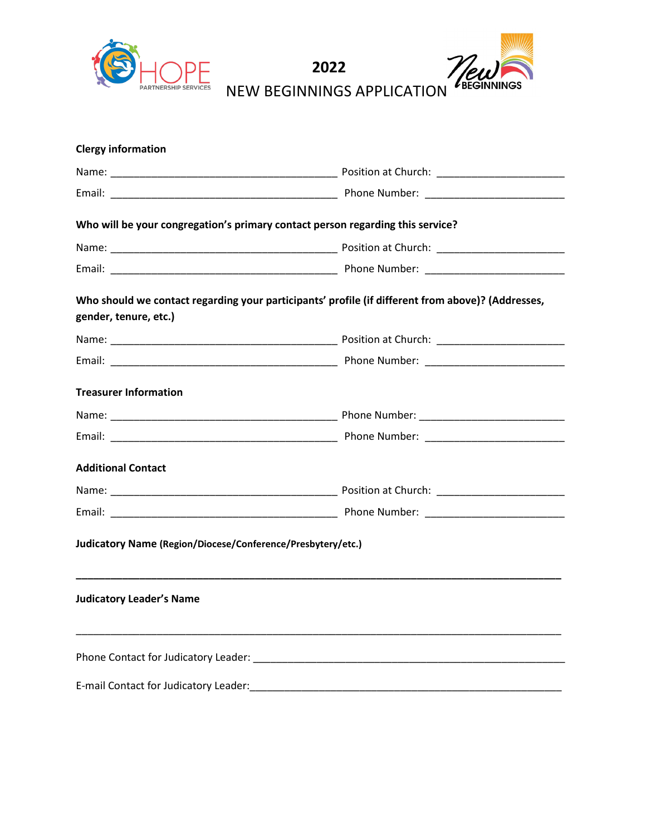



| <b>Clergy information</b>                                   |                                                                                                   |
|-------------------------------------------------------------|---------------------------------------------------------------------------------------------------|
|                                                             |                                                                                                   |
|                                                             |                                                                                                   |
|                                                             | Who will be your congregation's primary contact person regarding this service?                    |
|                                                             |                                                                                                   |
|                                                             |                                                                                                   |
| gender, tenure, etc.)                                       | Who should we contact regarding your participants' profile (if different from above)? (Addresses, |
|                                                             |                                                                                                   |
|                                                             |                                                                                                   |
| <b>Treasurer Information</b>                                |                                                                                                   |
|                                                             |                                                                                                   |
|                                                             |                                                                                                   |
| <b>Additional Contact</b>                                   |                                                                                                   |
|                                                             |                                                                                                   |
|                                                             |                                                                                                   |
| Judicatory Name (Region/Diocese/Conference/Presbytery/etc.) |                                                                                                   |
| <b>Judicatory Leader's Name</b>                             |                                                                                                   |
|                                                             |                                                                                                   |
| E-mail Contact for Judicatory Leader:                       |                                                                                                   |